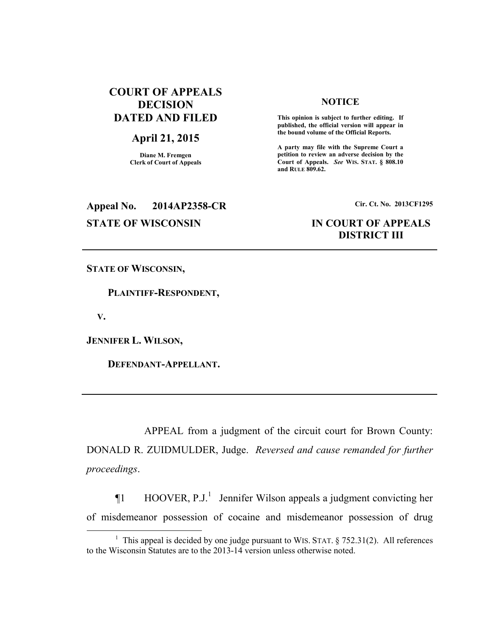# **COURT OF APPEALS DECISION DATED AND FILED**

# **April 21, 2015**

**Diane M. Fremgen Clerk of Court of Appeals** 

## **NOTICE**

 **This opinion is subject to further editing. If published, the official version will appear in the bound volume of the Official Reports.** 

**A party may file with the Supreme Court a petition to review an adverse decision by the Court of Appeals.** *See* **WIS. STAT. § 808.10 and RULE 809.62.** 

# **Appeal No. 2014AP2358-CR Cir. Ct. No. 2013CF1295**

# **STATE OF WISCONSIN IN COURT OF APPEALS DISTRICT III**

**STATE OF WISCONSIN,** 

 **PLAINTIFF-RESPONDENT,** 

 **V.** 

 $\overline{a}$ 

**JENNIFER L. WILSON,** 

 **DEFENDANT-APPELLANT.** 

 APPEAL from a judgment of the circuit court for Brown County: DONALD R. ZUIDMULDER, Judge. *Reversed and cause remanded for further proceedings*.

 $\P1$  HOOVER, P.J.<sup>1</sup> Jennifer Wilson appeals a judgment convicting her of misdemeanor possession of cocaine and misdemeanor possession of drug

<sup>&</sup>lt;sup>1</sup> This appeal is decided by one judge pursuant to WIS. STAT.  $\S$  752.31(2). All references to the Wisconsin Statutes are to the 2013-14 version unless otherwise noted.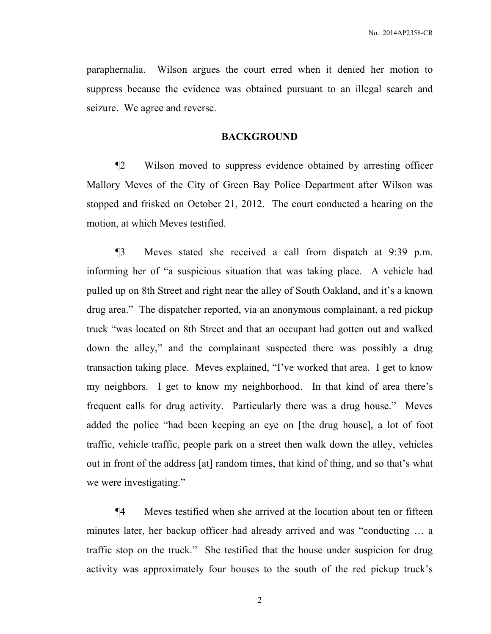paraphernalia. Wilson argues the court erred when it denied her motion to suppress because the evidence was obtained pursuant to an illegal search and seizure. We agree and reverse.

## **BACKGROUND**

¶2 Wilson moved to suppress evidence obtained by arresting officer Mallory Meves of the City of Green Bay Police Department after Wilson was stopped and frisked on October 21, 2012. The court conducted a hearing on the motion, at which Meves testified.

¶3 Meves stated she received a call from dispatch at 9:39 p.m. informing her of "a suspicious situation that was taking place. A vehicle had pulled up on 8th Street and right near the alley of South Oakland, and it's a known drug area." The dispatcher reported, via an anonymous complainant, a red pickup truck "was located on 8th Street and that an occupant had gotten out and walked down the alley," and the complainant suspected there was possibly a drug transaction taking place. Meves explained, "I've worked that area. I get to know my neighbors. I get to know my neighborhood. In that kind of area there's frequent calls for drug activity. Particularly there was a drug house." Meves added the police "had been keeping an eye on [the drug house], a lot of foot traffic, vehicle traffic, people park on a street then walk down the alley, vehicles out in front of the address [at] random times, that kind of thing, and so that's what we were investigating."

¶4 Meves testified when she arrived at the location about ten or fifteen minutes later, her backup officer had already arrived and was "conducting … a traffic stop on the truck." She testified that the house under suspicion for drug activity was approximately four houses to the south of the red pickup truck's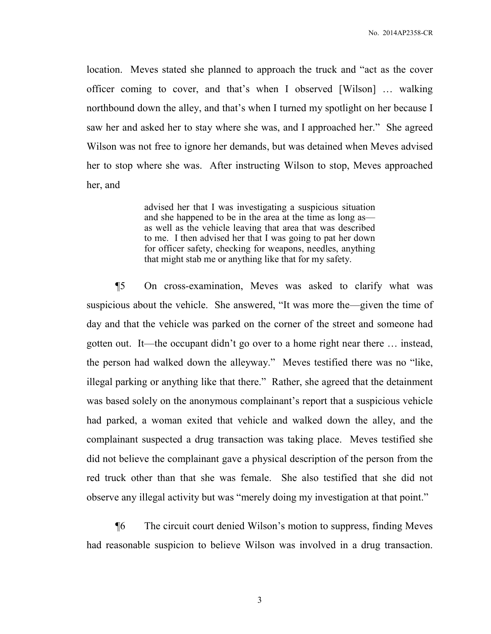location. Meves stated she planned to approach the truck and "act as the cover officer coming to cover, and that's when I observed [Wilson] … walking northbound down the alley, and that's when I turned my spotlight on her because I saw her and asked her to stay where she was, and I approached her." She agreed Wilson was not free to ignore her demands, but was detained when Meves advised her to stop where she was. After instructing Wilson to stop, Meves approached her, and

> advised her that I was investigating a suspicious situation and she happened to be in the area at the time as long as as well as the vehicle leaving that area that was described to me. I then advised her that I was going to pat her down for officer safety, checking for weapons, needles, anything that might stab me or anything like that for my safety.

¶5 On cross-examination, Meves was asked to clarify what was suspicious about the vehicle. She answered, "It was more the—given the time of day and that the vehicle was parked on the corner of the street and someone had gotten out. It—the occupant didn't go over to a home right near there … instead, the person had walked down the alleyway." Meves testified there was no "like, illegal parking or anything like that there." Rather, she agreed that the detainment was based solely on the anonymous complainant's report that a suspicious vehicle had parked, a woman exited that vehicle and walked down the alley, and the complainant suspected a drug transaction was taking place. Meves testified she did not believe the complainant gave a physical description of the person from the red truck other than that she was female. She also testified that she did not observe any illegal activity but was "merely doing my investigation at that point."

¶6 The circuit court denied Wilson's motion to suppress, finding Meves had reasonable suspicion to believe Wilson was involved in a drug transaction.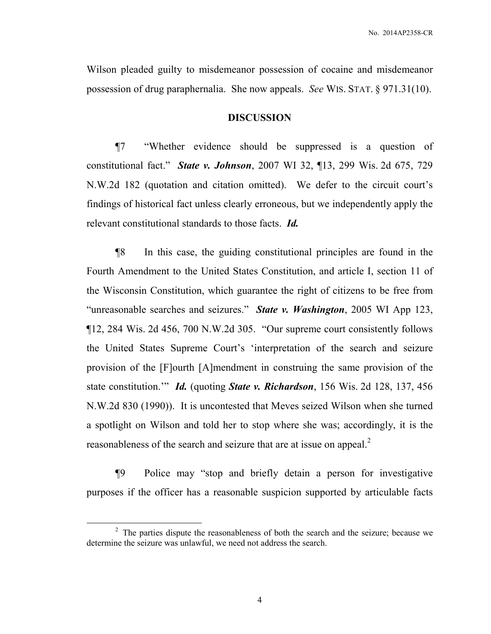Wilson pleaded guilty to misdemeanor possession of cocaine and misdemeanor possession of drug paraphernalia. She now appeals. *See* WIS. STAT. § 971.31(10).

### **DISCUSSION**

¶7 "Whether evidence should be suppressed is a question of constitutional fact." *State v. Johnson*, 2007 WI 32, ¶13, 299 Wis. 2d 675, 729 N.W.2d 182 (quotation and citation omitted). We defer to the circuit court's findings of historical fact unless clearly erroneous, but we independently apply the relevant constitutional standards to those facts. *Id.*

¶8 In this case, the guiding constitutional principles are found in the Fourth Amendment to the United States Constitution, and article I, section 11 of the Wisconsin Constitution, which guarantee the right of citizens to be free from "unreasonable searches and seizures." *State v. Washington*, 2005 WI App 123, ¶12, 284 Wis. 2d 456, 700 N.W.2d 305. "Our supreme court consistently follows the United States Supreme Court's 'interpretation of the search and seizure provision of the [F]ourth [A]mendment in construing the same provision of the state constitution.'" *Id.* (quoting *State v. Richardson*, 156 Wis. 2d 128, 137, 456 N.W.2d 830 (1990)). It is uncontested that Meves seized Wilson when she turned a spotlight on Wilson and told her to stop where she was; accordingly, it is the reasonableness of the search and seizure that are at issue on appeal.<sup>2</sup>

¶9 Police may "stop and briefly detain a person for investigative purposes if the officer has a reasonable suspicion supported by articulable facts

 $\overline{a}$ 

 $2$  The parties dispute the reasonableness of both the search and the seizure; because we determine the seizure was unlawful, we need not address the search.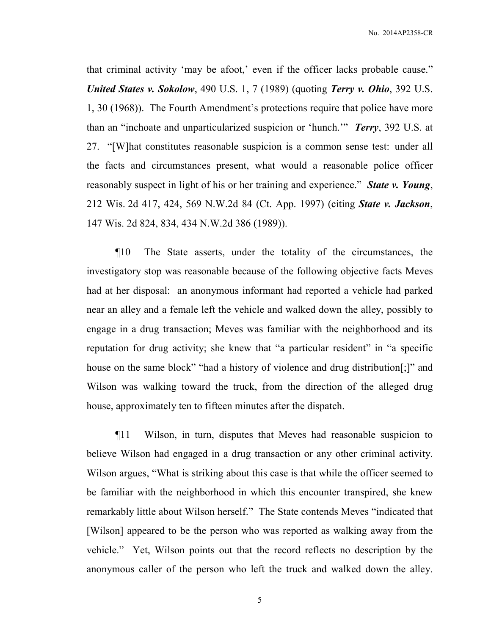that criminal activity 'may be afoot,' even if the officer lacks probable cause." *United States v. Sokolow*, 490 U.S. 1, 7 (1989) (quoting *Terry v. Ohio*, 392 U.S. 1, 30 (1968)). The Fourth Amendment's protections require that police have more than an "inchoate and unparticularized suspicion or 'hunch.'" *Terry*, 392 U.S. at 27. "[W]hat constitutes reasonable suspicion is a common sense test: under all the facts and circumstances present, what would a reasonable police officer reasonably suspect in light of his or her training and experience." *State v. Young*, 212 Wis. 2d 417, 424, 569 N.W.2d 84 (Ct. App. 1997) (citing *State v. Jackson*, 147 Wis. 2d 824, 834, 434 N.W.2d 386 (1989)).

¶10 The State asserts, under the totality of the circumstances, the investigatory stop was reasonable because of the following objective facts Meves had at her disposal: an anonymous informant had reported a vehicle had parked near an alley and a female left the vehicle and walked down the alley, possibly to engage in a drug transaction; Meves was familiar with the neighborhood and its reputation for drug activity; she knew that "a particular resident" in "a specific house on the same block" "had a history of violence and drug distribution[;]" and Wilson was walking toward the truck, from the direction of the alleged drug house, approximately ten to fifteen minutes after the dispatch.

¶11 Wilson, in turn, disputes that Meves had reasonable suspicion to believe Wilson had engaged in a drug transaction or any other criminal activity. Wilson argues, "What is striking about this case is that while the officer seemed to be familiar with the neighborhood in which this encounter transpired, she knew remarkably little about Wilson herself." The State contends Meves "indicated that [Wilson] appeared to be the person who was reported as walking away from the vehicle." Yet, Wilson points out that the record reflects no description by the anonymous caller of the person who left the truck and walked down the alley.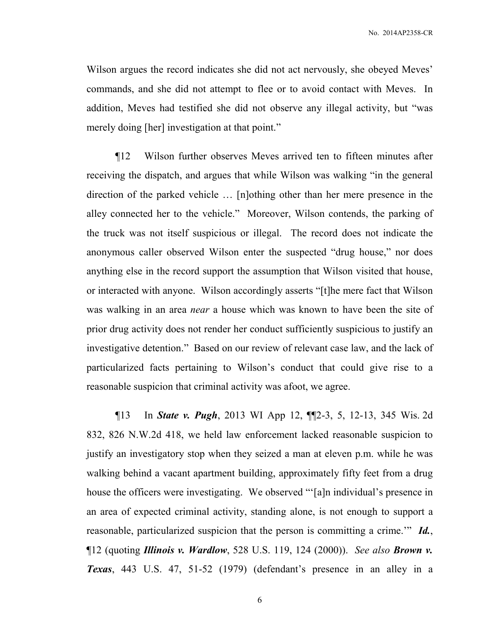Wilson argues the record indicates she did not act nervously, she obeyed Meves' commands, and she did not attempt to flee or to avoid contact with Meves. In addition, Meves had testified she did not observe any illegal activity, but "was merely doing [her] investigation at that point."

¶12 Wilson further observes Meves arrived ten to fifteen minutes after receiving the dispatch, and argues that while Wilson was walking "in the general direction of the parked vehicle … [n]othing other than her mere presence in the alley connected her to the vehicle." Moreover, Wilson contends, the parking of the truck was not itself suspicious or illegal. The record does not indicate the anonymous caller observed Wilson enter the suspected "drug house," nor does anything else in the record support the assumption that Wilson visited that house, or interacted with anyone. Wilson accordingly asserts "[t]he mere fact that Wilson was walking in an area *near* a house which was known to have been the site of prior drug activity does not render her conduct sufficiently suspicious to justify an investigative detention." Based on our review of relevant case law, and the lack of particularized facts pertaining to Wilson's conduct that could give rise to a reasonable suspicion that criminal activity was afoot, we agree.

¶13 In *State v. Pugh*, 2013 WI App 12, ¶¶2-3, 5, 12-13, 345 Wis. 2d 832, 826 N.W.2d 418, we held law enforcement lacked reasonable suspicion to justify an investigatory stop when they seized a man at eleven p.m. while he was walking behind a vacant apartment building, approximately fifty feet from a drug house the officers were investigating. We observed "'[a]n individual's presence in an area of expected criminal activity, standing alone, is not enough to support a reasonable, particularized suspicion that the person is committing a crime.'" *Id.*, ¶12 (quoting *Illinois v. Wardlow*, 528 U.S. 119, 124 (2000)). *See also Brown v. Texas*, 443 U.S. 47, 51-52 (1979) (defendant's presence in an alley in a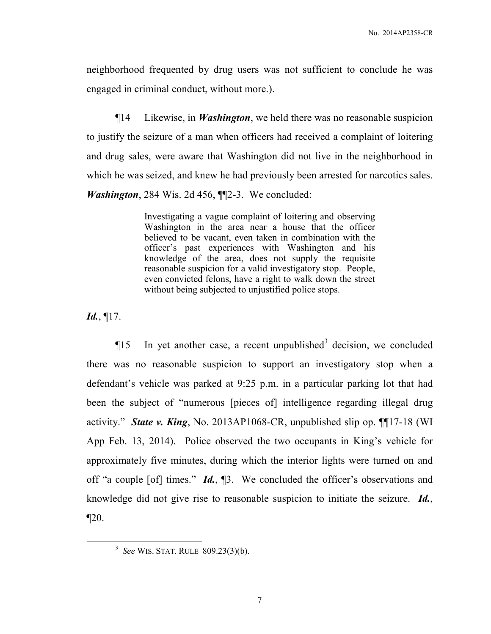neighborhood frequented by drug users was not sufficient to conclude he was engaged in criminal conduct, without more.).

¶14 Likewise, in *Washington*, we held there was no reasonable suspicion to justify the seizure of a man when officers had received a complaint of loitering and drug sales, were aware that Washington did not live in the neighborhood in which he was seized, and knew he had previously been arrested for narcotics sales. *Washington*, 284 Wis. 2d 456, ¶¶2-3. We concluded:

> Investigating a vague complaint of loitering and observing Washington in the area near a house that the officer believed to be vacant, even taken in combination with the officer's past experiences with Washington and his knowledge of the area, does not supply the requisite reasonable suspicion for a valid investigatory stop. People, even convicted felons, have a right to walk down the street without being subjected to unjustified police stops.

*Id.*, ¶17.

 $\overline{a}$ 

 $\P$ 15 In yet another case, a recent unpublished<sup>3</sup> decision, we concluded there was no reasonable suspicion to support an investigatory stop when a defendant's vehicle was parked at 9:25 p.m. in a particular parking lot that had been the subject of "numerous [pieces of] intelligence regarding illegal drug activity." *State v. King*, No. 2013AP1068-CR, unpublished slip op. ¶¶17-18 (WI App Feb. 13, 2014). Police observed the two occupants in King's vehicle for approximately five minutes, during which the interior lights were turned on and off "a couple [of] times." *Id.*, ¶3. We concluded the officer's observations and knowledge did not give rise to reasonable suspicion to initiate the seizure. *Id.*,  $\P 20.$ 

<sup>3</sup> *See* WIS. STAT. RULE 809.23(3)(b).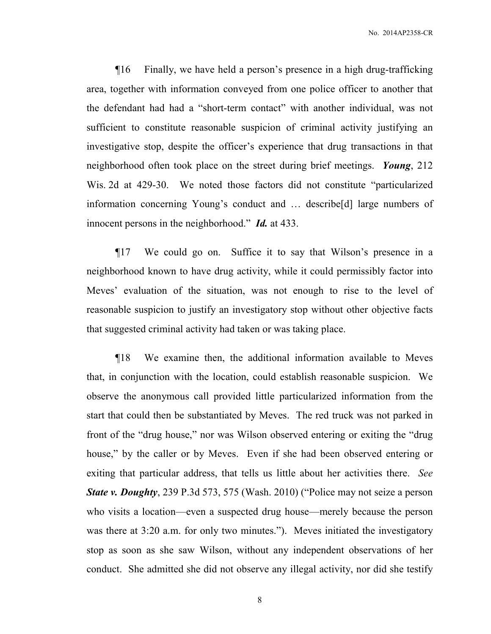¶16 Finally, we have held a person's presence in a high drug-trafficking area, together with information conveyed from one police officer to another that the defendant had had a "short-term contact" with another individual, was not sufficient to constitute reasonable suspicion of criminal activity justifying an investigative stop, despite the officer's experience that drug transactions in that neighborhood often took place on the street during brief meetings. *Young*, 212 Wis. 2d at 429-30.We noted those factors did not constitute "particularized information concerning Young's conduct and … describe[d] large numbers of innocent persons in the neighborhood." *Id.* at 433.

¶17 We could go on. Suffice it to say that Wilson's presence in a neighborhood known to have drug activity, while it could permissibly factor into Meves' evaluation of the situation, was not enough to rise to the level of reasonable suspicion to justify an investigatory stop without other objective facts that suggested criminal activity had taken or was taking place.

¶18 We examine then, the additional information available to Meves that, in conjunction with the location, could establish reasonable suspicion. We observe the anonymous call provided little particularized information from the start that could then be substantiated by Meves. The red truck was not parked in front of the "drug house," nor was Wilson observed entering or exiting the "drug house," by the caller or by Meves. Even if she had been observed entering or exiting that particular address, that tells us little about her activities there. *See State v. Doughty*, 239 P.3d 573, 575 (Wash. 2010) ("Police may not seize a person who visits a location—even a suspected drug house—merely because the person was there at 3:20 a.m. for only two minutes."). Meves initiated the investigatory stop as soon as she saw Wilson, without any independent observations of her conduct. She admitted she did not observe any illegal activity, nor did she testify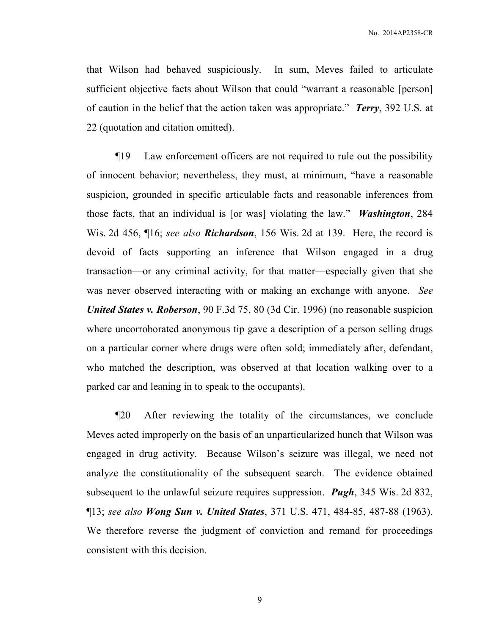that Wilson had behaved suspiciously. In sum, Meves failed to articulate sufficient objective facts about Wilson that could "warrant a reasonable [person] of caution in the belief that the action taken was appropriate." *Terry*, 392 U.S. at 22 (quotation and citation omitted).

¶19 Law enforcement officers are not required to rule out the possibility of innocent behavior; nevertheless, they must, at minimum, "have a reasonable suspicion, grounded in specific articulable facts and reasonable inferences from those facts, that an individual is [or was] violating the law." *Washington*, 284 Wis. 2d 456, ¶16; *see also Richardson*, 156 Wis. 2d at 139. Here, the record is devoid of facts supporting an inference that Wilson engaged in a drug transaction—or any criminal activity, for that matter—especially given that she was never observed interacting with or making an exchange with anyone. *See United States v. Roberson*, 90 F.3d 75, 80 (3d Cir. 1996) (no reasonable suspicion where uncorroborated anonymous tip gave a description of a person selling drugs on a particular corner where drugs were often sold; immediately after, defendant, who matched the description, was observed at that location walking over to a parked car and leaning in to speak to the occupants).

¶20 After reviewing the totality of the circumstances, we conclude Meves acted improperly on the basis of an unparticularized hunch that Wilson was engaged in drug activity. Because Wilson's seizure was illegal, we need not analyze the constitutionality of the subsequent search. The evidence obtained subsequent to the unlawful seizure requires suppression. *Pugh*, 345 Wis. 2d 832, ¶13; *see also Wong Sun v. United States*, 371 U.S. 471, 484-85, 487-88 (1963). We therefore reverse the judgment of conviction and remand for proceedings consistent with this decision.